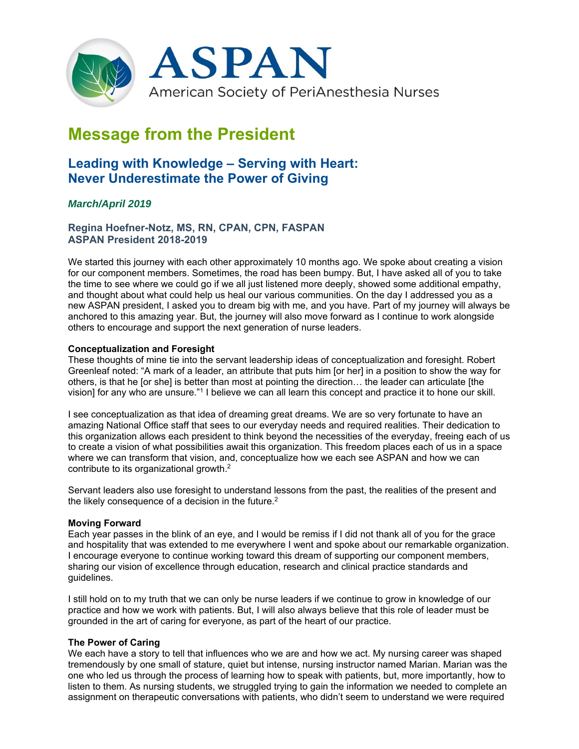

# **Message from the President**

# **Leading with Knowledge – Serving with Heart: Never Underestimate the Power of Giving**

## *March/April 2019*

### **Regina Hoefner-Notz, MS, RN, CPAN, CPN, FASPAN ASPAN President 2018-2019**

We started this journey with each other approximately 10 months ago. We spoke about creating a vision for our component members. Sometimes, the road has been bumpy. But, I have asked all of you to take the time to see where we could go if we all just listened more deeply, showed some additional empathy, and thought about what could help us heal our various communities. On the day I addressed you as a new ASPAN president, I asked you to dream big with me, and you have. Part of my journey will always be anchored to this amazing year. But, the journey will also move forward as I continue to work alongside others to encourage and support the next generation of nurse leaders.

#### **Conceptualization and Foresight**

These thoughts of mine tie into the servant leadership ideas of conceptualization and foresight. Robert Greenleaf noted: "A mark of a leader, an attribute that puts him [or her] in a position to show the way for others, is that he [or she] is better than most at pointing the direction... the leader can articulate [the vision] for any who are unsure."1 I believe we can all learn this concept and practice it to hone our skill.

I see conceptualization as that idea of dreaming great dreams. We are so very fortunate to have an amazing National Office staff that sees to our everyday needs and required realities. Their dedication to this organization allows each president to think beyond the necessities of the everyday, freeing each of us to create a vision of what possibilities await this organization. This freedom places each of us in a space where we can transform that vision, and, conceptualize how we each see ASPAN and how we can contribute to its organizational growth.2

Servant leaders also use foresight to understand lessons from the past, the realities of the present and the likely consequence of a decision in the future.<sup>2</sup>

#### **Moving Forward**

Each year passes in the blink of an eye, and I would be remiss if I did not thank all of you for the grace and hospitality that was extended to me everywhere I went and spoke about our remarkable organization. I encourage everyone to continue working toward this dream of supporting our component members, sharing our vision of excellence through education, research and clinical practice standards and guidelines.

I still hold on to my truth that we can only be nurse leaders if we continue to grow in knowledge of our practice and how we work with patients. But, I will also always believe that this role of leader must be grounded in the art of caring for everyone, as part of the heart of our practice.

#### **The Power of Caring**

We each have a story to tell that influences who we are and how we act. My nursing career was shaped tremendously by one small of stature, quiet but intense, nursing instructor named Marian. Marian was the one who led us through the process of learning how to speak with patients, but, more importantly, how to listen to them. As nursing students, we struggled trying to gain the information we needed to complete an assignment on therapeutic conversations with patients, who didn't seem to understand we were required